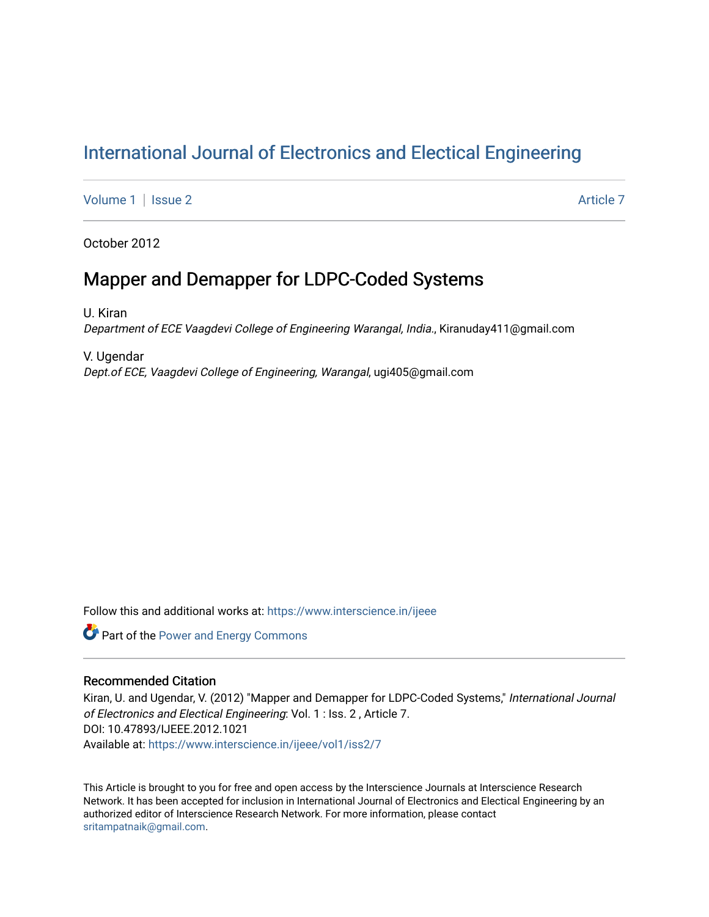# [International Journal of Electronics and Electical Engineering](https://www.interscience.in/ijeee)

[Volume 1](https://www.interscience.in/ijeee/vol1) | [Issue 2](https://www.interscience.in/ijeee/vol1/iss2) Article 7

October 2012

# Mapper and Demapper for LDPC-Coded Systems

U. Kiran Department of ECE Vaagdevi College of Engineering Warangal, India., Kiranuday411@gmail.com

V. Ugendar Dept.of ECE, Vaagdevi College of Engineering, Warangal, ugi405@gmail.com

Follow this and additional works at: [https://www.interscience.in/ijeee](https://www.interscience.in/ijeee?utm_source=www.interscience.in%2Fijeee%2Fvol1%2Fiss2%2F7&utm_medium=PDF&utm_campaign=PDFCoverPages)

Part of the [Power and Energy Commons](http://network.bepress.com/hgg/discipline/274?utm_source=www.interscience.in%2Fijeee%2Fvol1%2Fiss2%2F7&utm_medium=PDF&utm_campaign=PDFCoverPages) 

# Recommended Citation

Kiran, U. and Ugendar, V. (2012) "Mapper and Demapper for LDPC-Coded Systems," International Journal of Electronics and Electical Engineering: Vol. 1 : Iss. 2 , Article 7. DOI: 10.47893/IJEEE.2012.1021 Available at: [https://www.interscience.in/ijeee/vol1/iss2/7](https://www.interscience.in/ijeee/vol1/iss2/7?utm_source=www.interscience.in%2Fijeee%2Fvol1%2Fiss2%2F7&utm_medium=PDF&utm_campaign=PDFCoverPages)

This Article is brought to you for free and open access by the Interscience Journals at Interscience Research Network. It has been accepted for inclusion in International Journal of Electronics and Electical Engineering by an authorized editor of Interscience Research Network. For more information, please contact [sritampatnaik@gmail.com](mailto:sritampatnaik@gmail.com).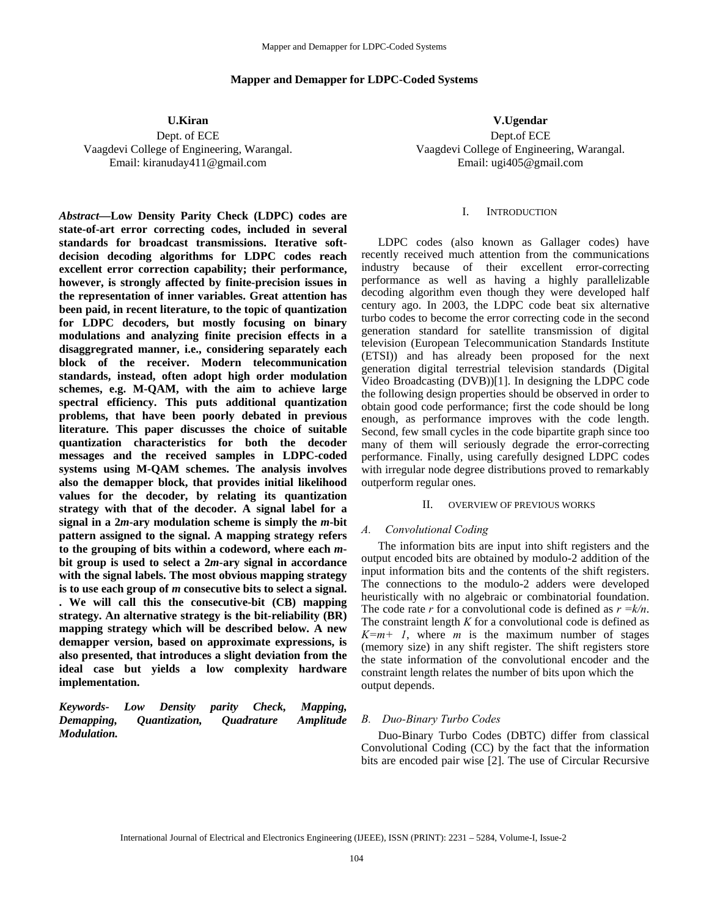# **Mapper and Demapper for LDPC-Coded Systems**

**U.Kiran** 

Dept. of ECE Vaagdevi College of Engineering, Warangal. Email: kiranuday411@gmail.com

*Abstract***—Low Density Parity Check (LDPC) codes are state-of-art error correcting codes, included in several standards for broadcast transmissions. Iterative softdecision decoding algorithms for LDPC codes reach excellent error correction capability; their performance, however, is strongly affected by finite-precision issues in the representation of inner variables. Great attention has been paid, in recent literature, to the topic of quantization for LDPC decoders, but mostly focusing on binary modulations and analyzing finite precision effects in a disaggregrated manner, i.e., considering separately each block of the receiver. Modern telecommunication standards, instead, often adopt high order modulation schemes, e.g. M-QAM, with the aim to achieve large spectral efficiency. This puts additional quantization problems, that have been poorly debated in previous literature. This paper discusses the choice of suitable quantization characteristics for both the decoder messages and the received samples in LDPC-coded systems using M-QAM schemes. The analysis involves also the demapper block, that provides initial likelihood values for the decoder, by relating its quantization strategy with that of the decoder. A signal label for a signal in a 2***m***-ary modulation scheme is simply the** *m***-bit pattern assigned to the signal. A mapping strategy refers to the grouping of bits within a codeword, where each** *m***bit group is used to select a 2***m***-ary signal in accordance with the signal labels. The most obvious mapping strategy is to use each group of** *m* **consecutive bits to select a signal. . We will call this the consecutive-bit (CB) mapping strategy. An alternative strategy is the bit-reliability (BR) mapping strategy which will be described below. A new demapper version, based on approximate expressions, is also presented, that introduces a slight deviation from the ideal case but yields a low complexity hardware implementation.** 

*Keywords- Low Density parity Check, Mapping, Demapping, Quantization, Quadrature Amplitude Modulation.* 

**V.Ugendar**  Dept.of ECE Vaagdevi College of Engineering, Warangal. Email: ugi405@gmail.com

#### I. INTRODUCTION

LDPC codes (also known as Gallager codes) have recently received much attention from the communications industry because of their excellent error-correcting performance as well as having a highly parallelizable decoding algorithm even though they were developed half century ago. In 2003, the LDPC code beat six alternative turbo codes to become the error correcting code in the second generation standard for satellite transmission of digital television (European Telecommunication Standards Institute (ETSI)) and has already been proposed for the next generation digital terrestrial television standards (Digital Video Broadcasting (DVB))[1]. In designing the LDPC code the following design properties should be observed in order to obtain good code performance; first the code should be long enough, as performance improves with the code length. Second, few small cycles in the code bipartite graph since too many of them will seriously degrade the error-correcting performance. Finally, using carefully designed LDPC codes with irregular node degree distributions proved to remarkably outperform regular ones.

#### II. OVERVIEW OF PREVIOUS WORKS

#### *A. Convolutional Coding*

The information bits are input into shift registers and the output encoded bits are obtained by modulo-2 addition of the input information bits and the contents of the shift registers. The connections to the modulo-2 adders were developed heuristically with no algebraic or combinatorial foundation. The code rate *r* for a convolutional code is defined as *r =k/n*. The constraint length *K* for a convolutional code is defined as  $K=m+1$ , where *m* is the maximum number of stages (memory size) in any shift register. The shift registers store the state information of the convolutional encoder and the constraint length relates the number of bits upon which the output depends.

## *B. Duo-Binary Turbo Codes*

Duo-Binary Turbo Codes (DBTC) differ from classical Convolutional Coding (CC) by the fact that the information bits are encoded pair wise [2]. The use of Circular Recursive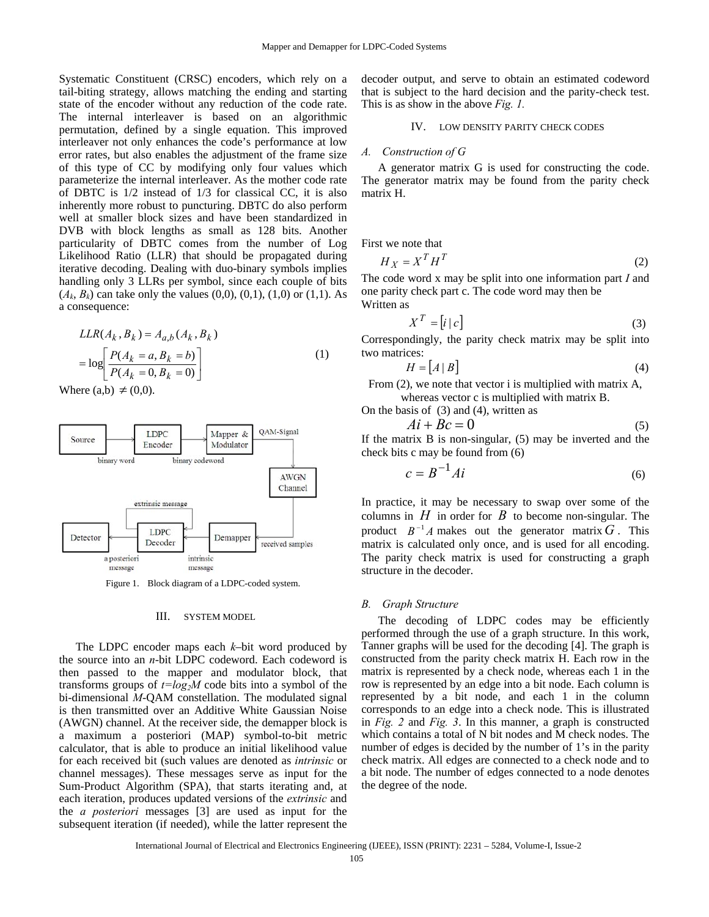Systematic Constituent (CRSC) encoders, which rely on a tail-biting strategy, allows matching the ending and starting state of the encoder without any reduction of the code rate. The internal interleaver is based on an algorithmic permutation, defined by a single equation. This improved interleaver not only enhances the code's performance at low error rates, but also enables the adjustment of the frame size of this type of CC by modifying only four values which parameterize the internal interleaver. As the mother code rate of DBTC is 1/2 instead of 1/3 for classical CC, it is also inherently more robust to puncturing. DBTC do also perform well at smaller block sizes and have been standardized in DVB with block lengths as small as 128 bits. Another particularity of DBTC comes from the number of Log Likelihood Ratio (LLR) that should be propagated during iterative decoding. Dealing with duo-binary symbols implies handling only 3 LLRs per symbol, since each couple of bits  $(A_k, B_k)$  can take only the values  $(0,0)$ ,  $(0,1)$ ,  $(1,0)$  or  $(1,1)$ . As a consequence:

$$
LLR(A_k, B_k) = A_{a,b}(A_k, B_k)
$$
  
= 
$$
\log \left[ \frac{P(A_k = a, B_k = b)}{P(A_k = 0, B_k = 0)} \right]
$$
 (1)

Where  $(a,b) \neq (0,0)$ .



Figure 1. Block diagram of a LDPC-coded system.

### III. SYSTEM MODEL

The LDPC encoder maps each *k*–bit word produced by the source into an *n*-bit LDPC codeword. Each codeword is then passed to the mapper and modulator block, that transforms groups of  $t = log<sub>2</sub>M$  code bits into a symbol of the bi-dimensional *M*-QAM constellation. The modulated signal is then transmitted over an Additive White Gaussian Noise (AWGN) channel. At the receiver side, the demapper block is a maximum a posteriori (MAP) symbol-to-bit metric calculator, that is able to produce an initial likelihood value for each received bit (such values are denoted as *intrinsic* or channel messages). These messages serve as input for the Sum-Product Algorithm (SPA), that starts iterating and, at each iteration, produces updated versions of the *extrinsic* and the *a posteriori* messages [3] are used as input for the subsequent iteration (if needed), while the latter represent the decoder output, and serve to obtain an estimated codeword that is subject to the hard decision and the parity-check test. This is as show in the above *Fig. 1.*

#### IV. LOW DENSITY PARITY CHECK CODES

## *A. Construction of G*

A generator matrix G is used for constructing the code. The generator matrix may be found from the parity check matrix H.

First we note that

$$
H_X = X^T H^T \tag{2}
$$

The code word x may be split into one information part *I* and one parity check part c. The code word may then be Written as

$$
X^T = [i \mid c] \tag{3}
$$

Correspondingly, the parity check matrix may be split into two matrices:

$$
H = [A \mid B] \tag{4}
$$

From (2), we note that vector i is multiplied with matrix A, whereas vector c is multiplied with matrix B.

On the basis of  $(3)$  and  $(4)$ , written as

$$
Ai + Bc = 0 \tag{5}
$$

If the matrix B is non-singular, (5) may be inverted and the check bits c may be found from (6)

$$
c = B^{-1} A i \tag{6}
$$

In practice, it may be necessary to swap over some of the columns in  $H$  in order for  $B$  to become non-singular. The product  $B^{-1}A$  makes out the generator matrix G. This matrix is calculated only once, and is used for all encoding. The parity check matrix is used for constructing a graph structure in the decoder.

#### *B. Graph Structure*

The decoding of LDPC codes may be efficiently performed through the use of a graph structure. In this work, Tanner graphs will be used for the decoding [4]. The graph is constructed from the parity check matrix H. Each row in the matrix is represented by a check node, whereas each 1 in the row is represented by an edge into a bit node. Each column is represented by a bit node, and each 1 in the column corresponds to an edge into a check node. This is illustrated in *Fig. 2* and *Fig. 3*. In this manner, a graph is constructed which contains a total of N bit nodes and M check nodes. The number of edges is decided by the number of 1's in the parity check matrix. All edges are connected to a check node and to a bit node. The number of edges connected to a node denotes the degree of the node.

International Journal of Electrical and Electronics Engineering (IJEEE), ISSN (PRINT): 2231 – 5284, Volume-I, Issue-2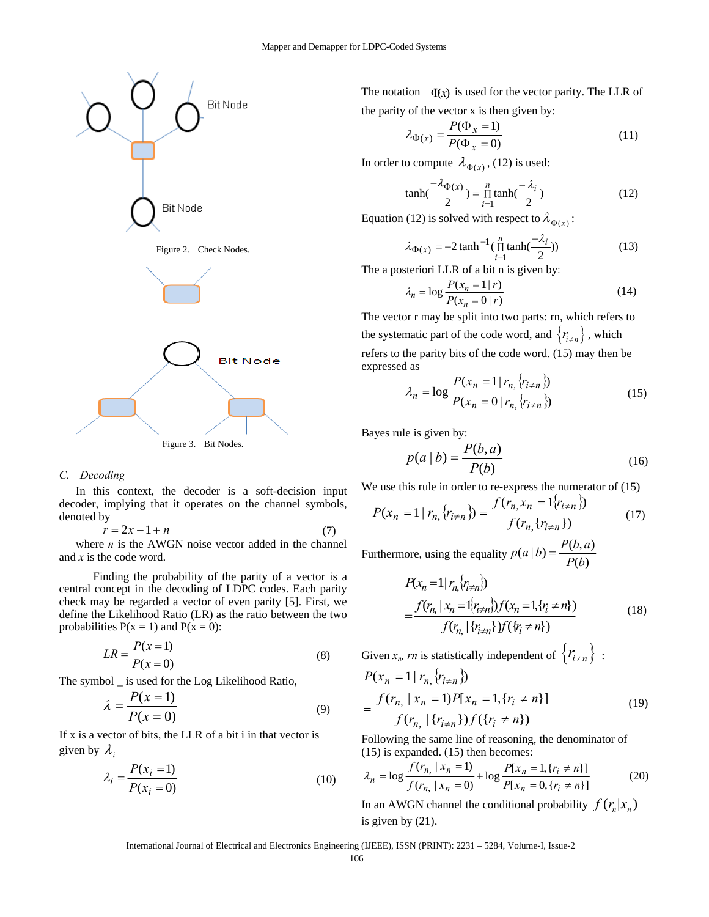

# *C. Decoding*

In this context, the decoder is a soft-decision input decoder, implying that it operates on the channel symbols, denoted by

$$
r = 2x - 1 + n \tag{7}
$$

where  $n$  is the AWGN noise vector added in the channel and *x* is the code word.

 Finding the probability of the parity of a vector is a central concept in the decoding of LDPC codes. Each parity check may be regarded a vector of even parity [5]. First, we define the Likelihood Ratio (LR) as the ratio between the two probabilities  $P(x = 1)$  and  $P(x = 0)$ :

$$
LR = \frac{P(x=1)}{P(x=0)}\tag{8}
$$

The symbol \_ is used for the Log Likelihood Ratio,

$$
\lambda = \frac{P(x=1)}{P(x=0)}\tag{9}
$$

If x is a vector of bits, the LLR of a bit i in that vector is given by  $\lambda_i$ 

$$
\lambda_i = \frac{P(x_i = 1)}{P(x_i = 0)}\tag{10}
$$

The notation  $\Phi(x)$  is used for the vector parity. The LLR of the parity of the vector x is then given by:

$$
\lambda_{\Phi(x)} = \frac{P(\Phi_x = 1)}{P(\Phi_x = 0)}\tag{11}
$$

In order to compute  $\lambda_{\Phi(x)}$ , (12) is used:

$$
\tanh(\frac{-\lambda_{\Phi(x)}}{2}) = \prod_{i=1}^{n} \tanh(\frac{-\lambda_i}{2})
$$
 (12)

Equation (12) is solved with respect to  $\lambda_{\Phi(x)}$ :

$$
\lambda_{\Phi(x)} = -2 \tanh^{-1}(\prod_{i=1}^{n} \tanh(\frac{-\lambda_i}{2}))
$$
\n(13)

The a posteriori LLR of a bit n is given by:

$$
\lambda_n = \log \frac{P(x_n = 1 | r)}{P(x_n = 0 | r)}
$$
(14)

The vector r may be split into two parts: rn, which refers to the systematic part of the code word, and  ${r_{i \neq n}}$ , which refers to the parity bits of the code word. (15) may then be expressed as

$$
\lambda_n = \log \frac{P(x_n = 1 | r_n, \{r_{i \neq n}\})}{P(x_n = 0 | r_n, \{r_{i \neq n}\})}
$$
(15)

Bayes rule is given by:

$$
p(a \mid b) = \frac{P(b, a)}{P(b)}\tag{16}
$$

We use this rule in order to re-express the numerator of (15)

$$
P(x_n = 1 | r_{n,} \{r_{i \neq n} \}) = \frac{f(r_{n,} x_n = 1 | r_{i \neq n} \})}{f(r_{n,} \{r_{i \neq n} \})}
$$
(17)

Furthermore, using the equality  $p(a | b) = \frac{P(b, a)}{P(b)}$ 

$$
P(x_n = 1 | r_n \langle r_{i \neq n} \rangle) = \frac{f(r_n | x_n = 1 \langle r_{i \neq n} \rangle) f(x_n = 1, \{r_i \neq n\})}{f(r_n | \{r_{i \neq n}\}) f(\{r_i \neq n\})}
$$
(18)

Given  $x_n$ , *rn* is statistically independent of  $\{r_{i \neq n}\}\;$ :

$$
P(x_n = 1 | r_{n,} \langle r_{i \neq n} \rangle)
$$
  
= 
$$
\frac{f(r_{n,} | x_n = 1) P[x_n = 1, \{r_i \neq n\}]}{f(r_{n,} | \{r_{i \neq n}\}) f(\{r_i \neq n\})}
$$
 (19)

Following the same line of reasoning, the denominator of (15) is expanded. (15) then becomes:

$$
\lambda_n = \log \frac{f(r_n, |x_n = 1)}{f(r_n, |x_n = 0)} + \log \frac{P[x_n = 1, \{r_i \neq n\}]}{P[x_n = 0, \{r_i \neq n\}]} \tag{20}
$$

In an AWGN channel the conditional probability  $f(r_n|x_n)$ is given by (21).

International Journal of Electrical and Electronics Engineering (IJEEE), ISSN (PRINT): 2231 – 5284, Volume-I, Issue-2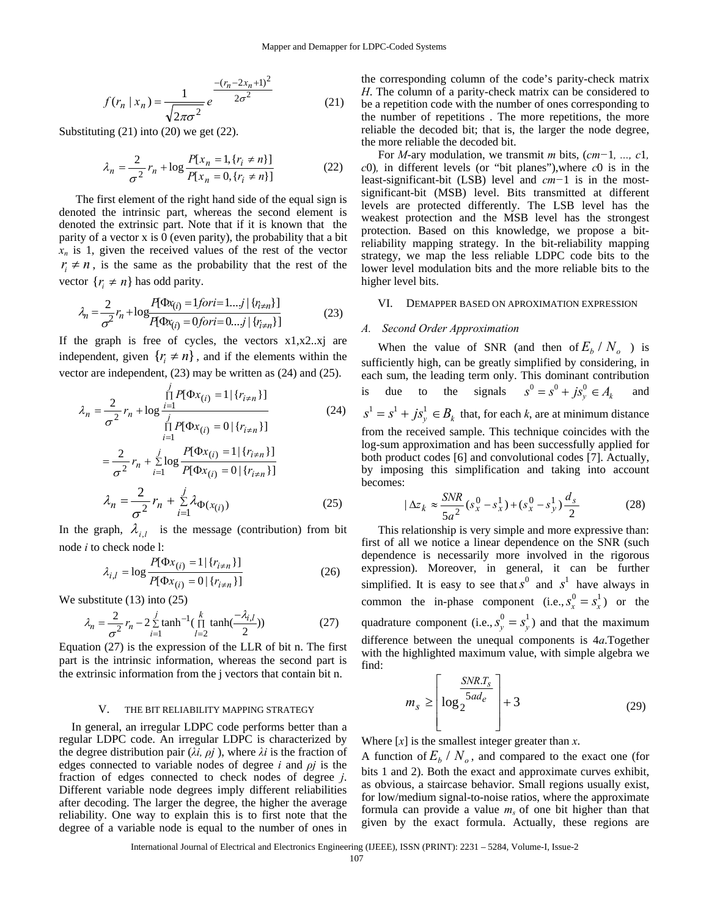$$
f(r_n \mid x_n) = \frac{1}{\sqrt{2\pi\sigma^2}} e^{\frac{-(r_n - 2x_n + 1)^2}{2\sigma^2}}
$$
 (21)

Substituting (21) into (20) we get (22).

$$
\lambda_n = \frac{2}{\sigma^2} r_n + \log \frac{P[x_n = 1, \{r_i \neq n\}]}{P[x_n = 0, \{r_i \neq n\}]}
$$
(22)

The first element of the right hand side of the equal sign is denoted the intrinsic part, whereas the second element is denoted the extrinsic part. Note that if it is known that the parity of a vector x is 0 (even parity), the probability that a bit  $x_n$  is 1, given the received values of the rest of the vector  $r_i \neq n$ , is the same as the probability that the rest of the vector  $\{r_i \neq n\}$  has odd parity.

$$
\lambda_n = \frac{2}{\sigma^2} r_n + \log \frac{P(\Phi x_{(i)} = 1 \text{ for } i = 1...j \mid \{r_{i \neq n}\}]}{P(\Phi x_{(i)} = 0 \text{ for } i = 0...j \mid \{r_{i \neq n}\}]} \tag{23}
$$

If the graph is free of cycles, the vectors  $x1, x2, xj$  are independent, given  $\{r \neq n\}$ , and if the elements within the vector are independent, (23) may be written as (24) and (25).

$$
\lambda_n = \frac{2}{\sigma^2} r_n + \log \frac{\prod\limits_{i=1}^j P[\Phi x_{(i)} = 1 | \{r_{i \neq n}\}] }{\prod\limits_{i=1}^j P[\Phi x_{(i)} = 0 | \{r_{i \neq n}\}]}
$$
(24)  

$$
= \frac{2}{\sigma^2} r_n + \sum\limits_{i=1}^j \log \frac{P[\Phi x_{(i)} = 1 | \{r_{i \neq n}\}] }{P[\Phi x_{(i)} = 0 | \{r_{i \neq n}\}]}
$$
  

$$
\lambda_n = \frac{2}{\sigma^2} r_n + \sum\limits_{i=1}^j \lambda_{\Phi(x_{(i)})}
$$
(25)

In the graph,  $\lambda_{i,l}$  is the message (contribution) from bit node *i* to check node l:

$$
\lambda_{i,l} = \log \frac{P[\Phi x_{(i)} = 1 | \{r_{i \neq n}\}]}{P[\Phi x_{(i)} = 0 | \{r_{i \neq n}\}]}
$$
(26)

We substitute (13) into (25)

$$
\lambda_n = \frac{2}{\sigma^2} r_n - 2 \sum_{i=1}^{j} \tanh^{-1}(\prod_{l=2}^{k} \tanh(\frac{-\lambda_{i,l}}{2}))
$$
 (27)

Equation (27) is the expression of the LLR of bit n. The first part is the intrinsic information, whereas the second part is the extrinsic information from the j vectors that contain bit n.

#### V. THE BIT RELIABILITY MAPPING STRATEGY

In general, an irregular LDPC code performs better than a regular LDPC code. An irregular LDPC is characterized by the degree distribution pair ( $\lambda i$ ,  $\rho j$ ), where  $\lambda i$  is the fraction of edges connected to variable nodes of degree *i* and *ρj* is the fraction of edges connected to check nodes of degree *j*. Different variable node degrees imply different reliabilities after decoding. The larger the degree, the higher the average reliability. One way to explain this is to first note that the degree of a variable node is equal to the number of ones in

the corresponding column of the code's parity-check matrix *H*. The column of a parity-check matrix can be considered to be a repetition code with the number of ones corresponding to the number of repetitions . The more repetitions, the more reliable the decoded bit; that is, the larger the node degree, the more reliable the decoded bit.

For *M*-ary modulation, we transmit *m* bits, (*cm−*1*, ..., c*1*, c*0)*,* in different levels (or "bit planes"),where *c*0 is in the least-significant-bit (LSB) level and *cm−*1 is in the mostsignificant-bit (MSB) level. Bits transmitted at different levels are protected differently. The LSB level has the weakest protection and the MSB level has the strongest protection. Based on this knowledge, we propose a bitreliability mapping strategy. In the bit-reliability mapping strategy, we map the less reliable LDPC code bits to the lower level modulation bits and the more reliable bits to the higher level bits.

#### VI. DEMAPPER BASED ON APROXIMATION EXPRESSION

#### *A. Second Order Approximation*

When the value of SNR (and then of  $E_b / N_o$ ) is sufficiently high, can be greatly simplified by considering, in each sum, the leading term only. This dominant contribution is due to the signals  $s^0 = s^0 + js_y^0 \in A_k$  and  $s^1 = s^1 + j s_y^1 \in B_k$  that, for each *k*, are at minimum distance from the received sample. This technique coincides with the log-sum approximation and has been successfully applied for both product codes [6] and convolutional codes [7]. Actually, by imposing this simplification and taking into account becomes:

$$
|\Delta z_k \approx \frac{SNR}{5a^2} (s_x^0 - s_x^1) + (s_x^0 - s_y^1) \frac{d_s}{2}
$$
 (28)

This relationship is very simple and more expressive than: first of all we notice a linear dependence on the SNR (such dependence is necessarily more involved in the rigorous expression). Moreover, in general, it can be further simplified. It is easy to see that  $s^0$  and  $s^1$  have always in common the in-phase component (i.e.,  $s_x^0 = s_x^1$ ) or the quadrature component (i.e.,  $s_y^0 = s_y^1$ ) and that the maximum difference between the unequal components is 4*a*.Together with the highlighted maximum value, with simple algebra we find:

$$
m_{s} \geq \left[ \log_{2} \frac{SNR.T_{s}}{5ad_{e}} \right] + 3 \tag{29}
$$

Where [*x*] is the smallest integer greater than *x*.

A function of  $E_h / N_o$ , and compared to the exact one (for bits 1 and 2). Both the exact and approximate curves exhibit, as obvious, a staircase behavior. Small regions usually exist, for low/medium signal-to-noise ratios, where the approximate formula can provide a value  $m<sub>s</sub>$  of one bit higher than that given by the exact formula. Actually, these regions are

International Journal of Electrical and Electronics Engineering (IJEEE), ISSN (PRINT): 2231 – 5284, Volume-I, Issue-2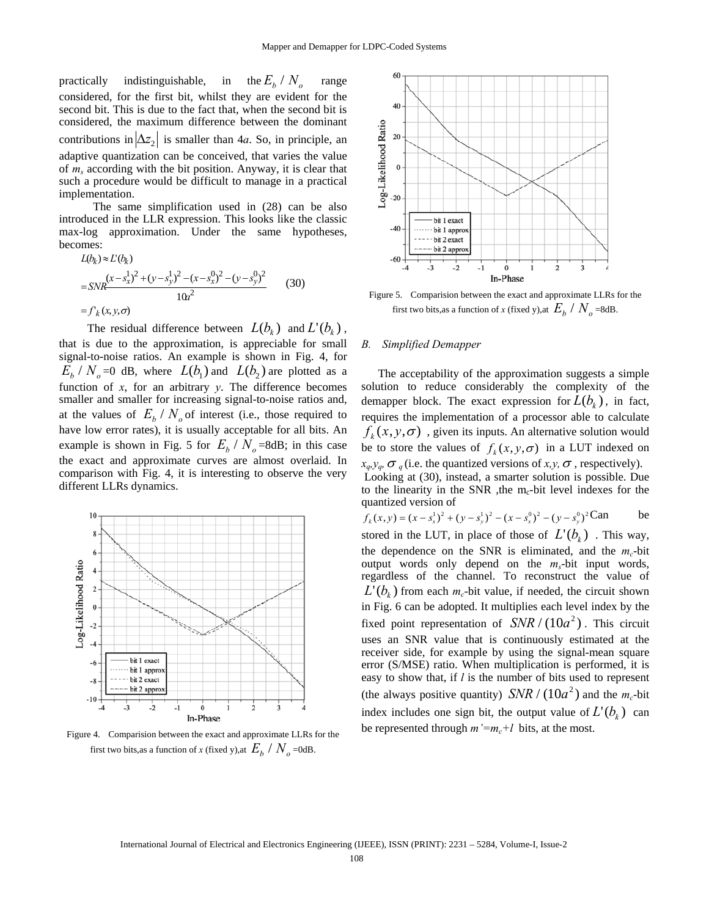practically indistinguishable, in the  $E_b / N_o$  range considered, for the first bit, whilst they are evident for the second bit. This is due to the fact that, when the second bit is considered, the maximum difference between the dominant contributions in  $|\Delta z_2|$  is smaller than 4*a*. So, in principle, an adaptive quantization can be conceived, that varies the value of *ms* according with the bit position. Anyway, it is clear that such a procedure would be difficult to manage in a practical implementation.

 The same simplification used in (28) can be also introduced in the LLR expression. This looks like the classic max-log approximation. Under the same hypotheses, becomes:

$$
L(b_k) \approx L'(b_k)
$$
  
=  $SNR \frac{(x - s_x^1)^2 + (y - s_y^1)^2 - (x - s_x^0)^2 - (y - s_y^0)^2}{10x^2}$  (30)  
=  $f_k(x, y, \sigma)$ 

The residual difference between  $L(b_k)$  and  $L^{\prime}(b_k)$ , that is due to the approximation, is appreciable for small signal-to-noise ratios. An example is shown in Fig. 4, for  $E<sub>b</sub> / N<sub>o</sub> = 0$  dB, where  $L(b<sub>1</sub>)$  and  $L(b<sub>2</sub>)$  are plotted as a function of *x*, for an arbitrary *y*. The difference becomes smaller and smaller for increasing signal-to-noise ratios and, at the values of  $E_b / N_o$  of interest (i.e., those required to have low error rates), it is usually acceptable for all bits. An example is shown in Fig. 5 for  $E_h / N_o = 8$ dB; in this case the exact and approximate curves are almost overlaid. In comparison with Fig. 4, it is interesting to observe the very different LLRs dynamics.



Figure 4. Comparision between the exact and approximate LLRs for the first two bits,as a function of *x* (fixed y),at  $E_b / N_o$  =0dB.



Figure 5. Comparision between the exact and approximate LLRs for the first two bits,as a function of *x* (fixed y),at  $E<sub>b</sub> / N<sub>a</sub>$  =8dB.

# *B. Simplified Demapper*

The acceptability of the approximation suggests a simple solution to reduce considerably the complexity of the demapper block. The exact expression for  $L(b_k)$ , in fact, requires the implementation of a processor able to calculate  $f_k(x, y, \sigma)$ , given its inputs. An alternative solution would be to store the values of  $f_k(x, y, \sigma)$  in a LUT indexed on  $x_q, y_q, \sigma_q$  (i.e. the quantized versions of *x,y,*  $\sigma$ , respectively).

 Looking at (30), instead, a smarter solution is possible. Due to the linearity in the SNR , the m<sub>c</sub>-bit level indexes for the quantized version of

$$
f_k(x, y) = (x - s_x^1)^2 + (y - s_y^1)^2 - (x - s_x^0)^2 - (y - s_y^0)^2 \text{Can} \text{ be}
$$
  
stored in the LUT, in place of those of  $L'(b_k)$ . This way,

the dependence on the SNR is eliminated, and the  $m_c$ -bit output words only depend on the  $m_s$ -bit input words, regardless of the channel. To reconstruct the value of  $L^{\prime}(b_{\iota})$  from each  $m_c$ -bit value, if needed, the circuit shown in Fig. 6 can be adopted. It multiplies each level index by the fixed point representation of  $SNR / (10a^2)$ . This circuit uses an SNR value that is continuously estimated at the receiver side, for example by using the signal-mean square error (S/MSE) ratio. When multiplication is performed, it is easy to show that, if *l* is the number of bits used to represent (the always positive quantity) *SNR* /  $(10a^2)$  and the *m<sub>c</sub>*-bit index includes one sign bit, the output value of  $L' (b_k)$  can be represented through  $m' = m_c + l$  bits, at the most.